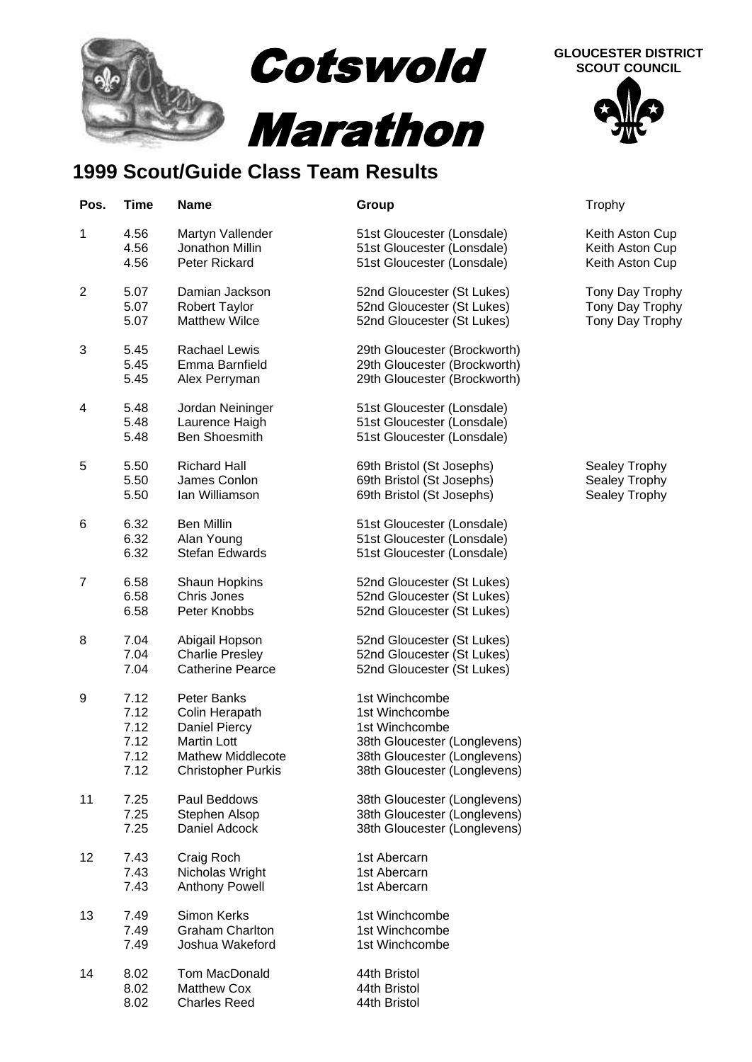

## **1999 Scout/Guide Class Team Results**

| Pos.           | <b>Time</b>                                  | <b>Name</b>                                                                                                                   | Group                                                                                                                                              | Trophy                                                |
|----------------|----------------------------------------------|-------------------------------------------------------------------------------------------------------------------------------|----------------------------------------------------------------------------------------------------------------------------------------------------|-------------------------------------------------------|
| 1              | 4.56<br>4.56<br>4.56                         | Martyn Vallender<br>Jonathon Millin<br><b>Peter Rickard</b>                                                                   | 51st Gloucester (Lonsdale)<br>51st Gloucester (Lonsdale)<br>51st Gloucester (Lonsdale)                                                             | Keith Aston Cup<br>Keith Aston Cup<br>Keith Aston Cup |
| 2              | 5.07<br>5.07<br>5.07                         | Damian Jackson<br>Robert Taylor<br><b>Matthew Wilce</b>                                                                       | 52nd Gloucester (St Lukes)<br>52nd Gloucester (St Lukes)<br>52nd Gloucester (St Lukes)                                                             | Tony Day Trophy<br>Tony Day Trophy<br>Tony Day Trophy |
| 3              | 5.45<br>5.45<br>5.45                         | Rachael Lewis<br>Emma Barnfield<br>Alex Perryman                                                                              | 29th Gloucester (Brockworth)<br>29th Gloucester (Brockworth)<br>29th Gloucester (Brockworth)                                                       |                                                       |
| 4              | 5.48<br>5.48<br>5.48                         | Jordan Neininger<br>Laurence Haigh<br>Ben Shoesmith                                                                           | 51st Gloucester (Lonsdale)<br>51st Gloucester (Lonsdale)<br>51st Gloucester (Lonsdale)                                                             |                                                       |
| 5              | 5.50<br>5.50<br>5.50                         | <b>Richard Hall</b><br>James Conlon<br>Ian Williamson                                                                         | 69th Bristol (St Josephs)<br>69th Bristol (St Josephs)<br>69th Bristol (St Josephs)                                                                | Sealey Trophy<br>Sealey Trophy<br>Sealey Trophy       |
| 6              | 6.32<br>6.32<br>6.32                         | <b>Ben Millin</b><br>Alan Young<br><b>Stefan Edwards</b>                                                                      | 51st Gloucester (Lonsdale)<br>51st Gloucester (Lonsdale)<br>51st Gloucester (Lonsdale)                                                             |                                                       |
| $\overline{7}$ | 6.58<br>6.58<br>6.58                         | <b>Shaun Hopkins</b><br>Chris Jones<br>Peter Knobbs                                                                           | 52nd Gloucester (St Lukes)<br>52nd Gloucester (St Lukes)<br>52nd Gloucester (St Lukes)                                                             |                                                       |
| 8              | 7.04<br>7.04<br>7.04                         | Abigail Hopson<br><b>Charlie Presley</b><br><b>Catherine Pearce</b>                                                           | 52nd Gloucester (St Lukes)<br>52nd Gloucester (St Lukes)<br>52nd Gloucester (St Lukes)                                                             |                                                       |
| 9              | 7.12<br>7.12<br>7.12<br>7.12<br>7.12<br>7.12 | Peter Banks<br>Colin Herapath<br>Daniel Piercy<br><b>Martin Lott</b><br><b>Mathew Middlecote</b><br><b>Christopher Purkis</b> | 1st Winchcombe<br>1st Winchcombe<br>1st Winchcombe<br>38th Gloucester (Longlevens)<br>38th Gloucester (Longlevens)<br>38th Gloucester (Longlevens) |                                                       |
| 11             | 7.25<br>7.25<br>7.25                         | Paul Beddows<br>Stephen Alsop<br>Daniel Adcock                                                                                | 38th Gloucester (Longlevens)<br>38th Gloucester (Longlevens)<br>38th Gloucester (Longlevens)                                                       |                                                       |
| 12             | 7.43<br>7.43<br>7.43                         | Craig Roch<br>Nicholas Wright<br><b>Anthony Powell</b>                                                                        | 1st Abercarn<br>1st Abercarn<br>1st Abercarn                                                                                                       |                                                       |
| 13             | 7.49<br>7.49<br>7.49                         | Simon Kerks<br><b>Graham Charlton</b><br>Joshua Wakeford                                                                      | 1st Winchcombe<br>1st Winchcombe<br>1st Winchcombe                                                                                                 |                                                       |
| 14             | 8.02<br>8.02<br>8.02                         | <b>Tom MacDonald</b><br><b>Matthew Cox</b><br><b>Charles Reed</b>                                                             | 44th Bristol<br>44th Bristol<br>44th Bristol                                                                                                       |                                                       |

**GLOUCESTER DISTRICT SCOUT COUNCIL**